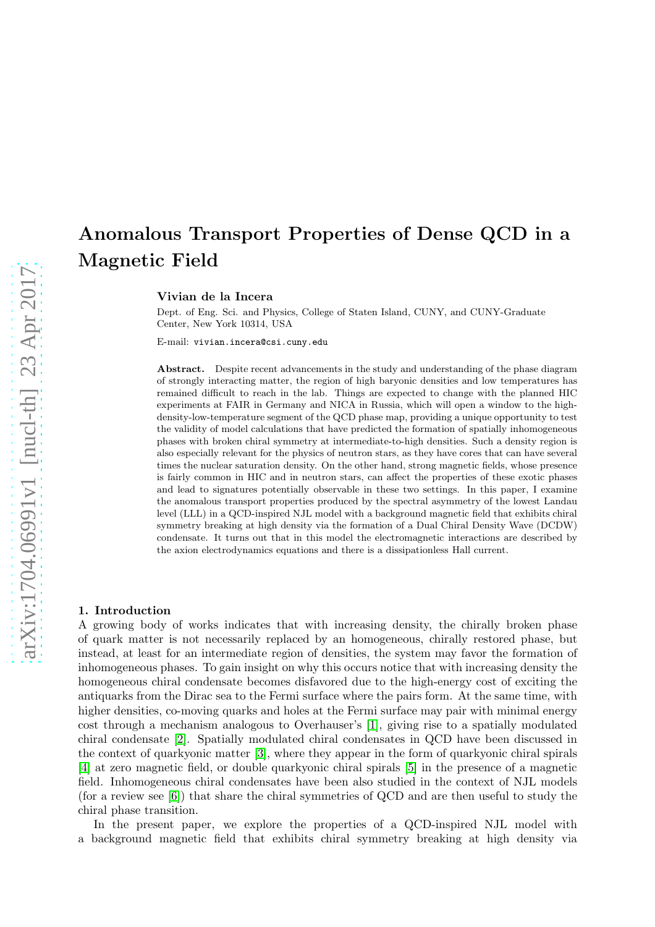# Anomalous Transport Properties of Dense QCD in a Magnetic Field

Vivian de la Incera

Dept. of Eng. Sci. and Physics, College of Staten Island, CUNY, and CUNY-Graduate Center, New York 10314, USA

E-mail: vivian.incera@csi.cuny.edu

Abstract. Despite recent advancements in the study and understanding of the phase diagram of strongly interacting matter, the region of high baryonic densities and low temperatures has remained difficult to reach in the lab. Things are expected to change with the planned HIC experiments at FAIR in Germany and NICA in Russia, which will open a window to the highdensity-low-temperature segment of the QCD phase map, providing a unique opportunity to test the validity of model calculations that have predicted the formation of spatially inhomogeneous phases with broken chiral symmetry at intermediate-to-high densities. Such a density region is also especially relevant for the physics of neutron stars, as they have cores that can have several times the nuclear saturation density. On the other hand, strong magnetic fields, whose presence is fairly common in HIC and in neutron stars, can affect the properties of these exotic phases and lead to signatures potentially observable in these two settings. In this paper, I examine the anomalous transport properties produced by the spectral asymmetry of the lowest Landau level (LLL) in a QCD-inspired NJL model with a background magnetic field that exhibits chiral symmetry breaking at high density via the formation of a Dual Chiral Density Wave (DCDW) condensate. It turns out that in this model the electromagnetic interactions are described by the axion electrodynamics equations and there is a dissipationless Hall current.

### 1. Introduction

A growing body of works indicates that with increasing density, the chirally broken phase of quark matter is not necessarily replaced by an homogeneous, chirally restored phase, but instead, at least for an intermediate region of densities, the system may favor the formation of inhomogeneous phases. To gain insight on why this occurs notice that with increasing density the homogeneous chiral condensate becomes disfavored due to the high-energy cost of exciting the antiquarks from the Dirac sea to the Fermi surface where the pairs form. At the same time, with higher densities, co-moving quarks and holes at the Fermi surface may pair with minimal energy cost through a mechanism analogous to Overhauser's [\[1\]](#page-6-0), giving rise to a spatially modulated chiral condensate [\[2\]](#page-6-1). Spatially modulated chiral condensates in QCD have been discussed in the context of quarkyonic matter [\[3\]](#page-6-2), where they appear in the form of quarkyonic chiral spirals [\[4\]](#page-6-3) at zero magnetic field, or double quarkyonic chiral spirals [\[5\]](#page-6-4) in the presence of a magnetic field. Inhomogeneous chiral condensates have been also studied in the context of NJL models (for a review see [\[6\]](#page-6-5)) that share the chiral symmetries of QCD and are then useful to study the chiral phase transition.

In the present paper, we explore the properties of a QCD-inspired NJL model with a background magnetic field that exhibits chiral symmetry breaking at high density via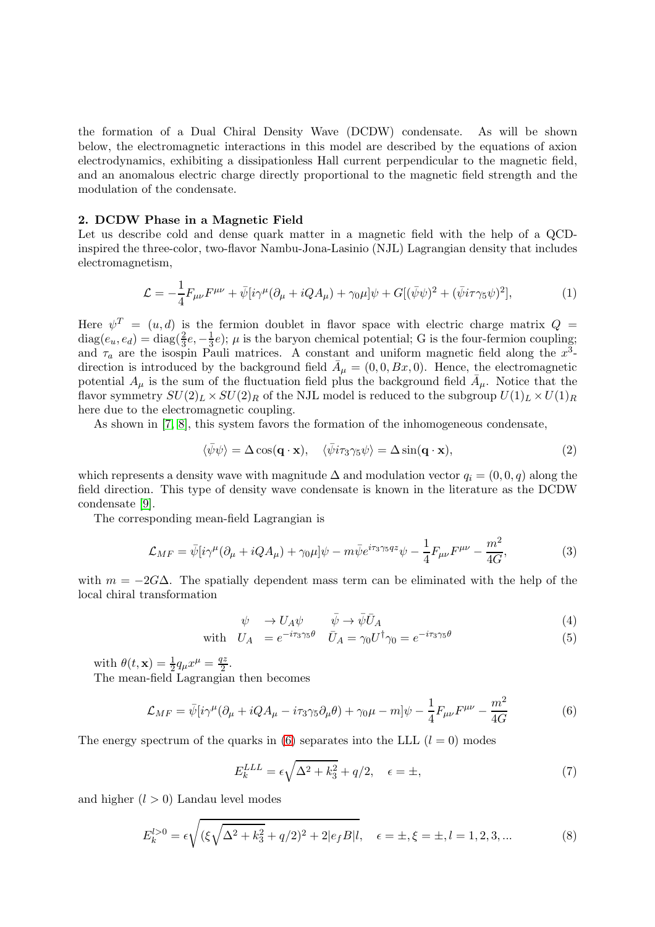the formation of a Dual Chiral Density Wave (DCDW) condensate. As will be shown below, the electromagnetic interactions in this model are described by the equations of axion electrodynamics, exhibiting a dissipationless Hall current perpendicular to the magnetic field, and an anomalous electric charge directly proportional to the magnetic field strength and the modulation of the condensate.

# 2. DCDW Phase in a Magnetic Field

Let us describe cold and dense quark matter in a magnetic field with the help of a QCDinspired the three-color, two-flavor Nambu-Jona-Lasinio (NJL) Lagrangian density that includes electromagnetism,

$$
\mathcal{L} = -\frac{1}{4}F_{\mu\nu}F^{\mu\nu} + \bar{\psi}[i\gamma^{\mu}(\partial_{\mu} + iQA_{\mu}) + \gamma_0\mu]\psi + G[(\bar{\psi}\psi)^2 + (\bar{\psi}i\tau\gamma_5\psi)^2],\tag{1}
$$

Here  $\psi^T = (u, d)$  is the fermion doublet in flavor space with electric charge matrix  $Q =$  $diag(e_u, e_d) = diag(\frac{2}{3}e, -\frac{1}{3})$  $(\frac{1}{3}e)$ ;  $\mu$  is the baryon chemical potential; G is the four-fermion coupling; and  $\tau_a$  are the isospin Pauli matrices. A constant and uniform magnetic field along the  $x^3$ direction is introduced by the background field  $\bar{A}_{\mu} = (0, 0, Bx, 0)$ . Hence, the electromagnetic potential  $A_{\mu}$  is the sum of the fluctuation field plus the background field  $\bar{A}_{\mu}$ . Notice that the flavor symmetry  $SU(2)_L \times SU(2)_R$  of the NJL model is reduced to the subgroup  $U(1)_L \times U(1)_R$ here due to the electromagnetic coupling.

As shown in [\[7,](#page-6-6) [8\]](#page-6-7), this system favors the formation of the inhomogeneous condensate,

$$
\langle \bar{\psi}\psi \rangle = \Delta \cos(\mathbf{q} \cdot \mathbf{x}), \quad \langle \bar{\psi} i\tau_3 \gamma_5 \psi \rangle = \Delta \sin(\mathbf{q} \cdot \mathbf{x}), \tag{2}
$$

which represents a density wave with magnitude  $\Delta$  and modulation vector  $q_i = (0, 0, q)$  along the field direction. This type of density wave condensate is known in the literature as the DCDW condensate [\[9\]](#page-6-8).

The corresponding mean-field Lagrangian is

$$
\mathcal{L}_{MF} = \bar{\psi}[i\gamma^{\mu}(\partial_{\mu} + iQA_{\mu}) + \gamma_0\mu]\psi - m\bar{\psi}e^{i\tau_3\gamma_5qz}\psi - \frac{1}{4}F_{\mu\nu}F^{\mu\nu} - \frac{m^2}{4G},\tag{3}
$$

with  $m = -2G\Delta$ . The spatially dependent mass term can be eliminated with the help of the local chiral transformation

$$
\psi \quad \to U_A \psi \qquad \bar{\psi} \to \bar{\psi} \bar{U}_A \tag{4}
$$

with 
$$
U_A = e^{-i\tau_3\gamma_5\theta}
$$
  $\bar{U}_A = \gamma_0 U^{\dagger} \gamma_0 = e^{-i\tau_3\gamma_5\theta}$  (5)

with  $\theta(t, \mathbf{x}) = \frac{1}{2} q_{\mu} x^{\mu} = \frac{qz}{2}$  $\frac{l^2}{2}$ .

The mean-field Lagrangian then becomes

<span id="page-1-0"></span>
$$
\mathcal{L}_{MF} = \bar{\psi}[i\gamma^{\mu}(\partial_{\mu} + iQ A_{\mu} - i\tau_3\gamma_5 \partial_{\mu}\theta) + \gamma_0\mu - m]\psi - \frac{1}{4}F_{\mu\nu}F^{\mu\nu} - \frac{m^2}{4G}
$$
(6)

The energy spectrum of the quarks in [\(6\)](#page-1-0) separates into the LLL  $(l = 0)$  modes

<span id="page-1-1"></span>
$$
E_k^{LLL} = \epsilon \sqrt{\Delta^2 + k_3^2} + q/2, \quad \epsilon = \pm,\tag{7}
$$

and higher  $(l > 0)$  Landau level modes

<span id="page-1-2"></span>
$$
E_k^{l>0} = \epsilon \sqrt{(\xi \sqrt{\Delta^2 + k_3^2} + q/2)^2 + 2|e_f B|} \quad \epsilon = \pm, \xi = \pm, l = 1, 2, 3, \dots
$$
 (8)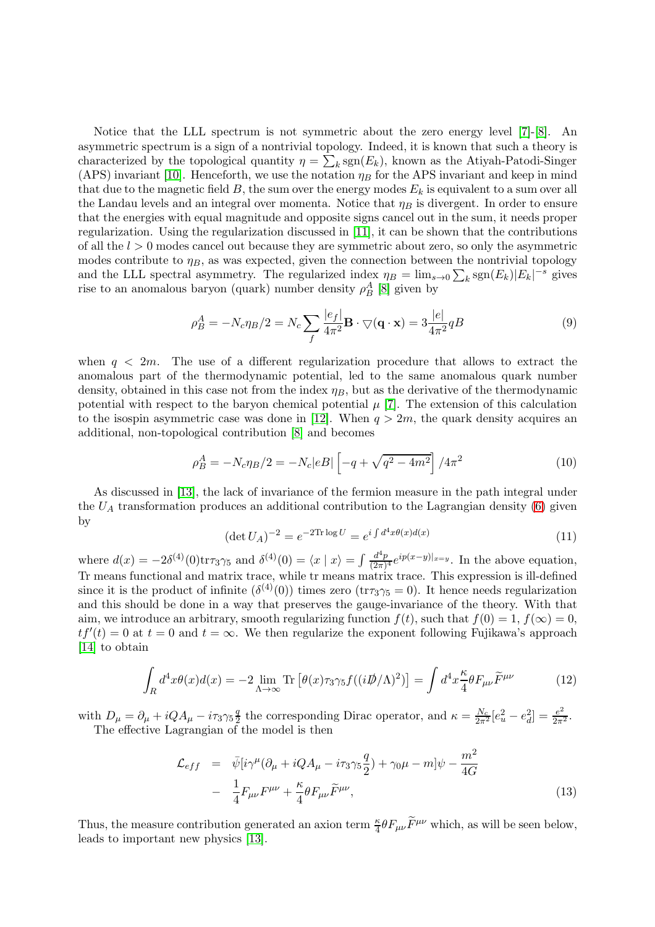Notice that the LLL spectrum is not symmetric about the zero energy level [\[7\]](#page-6-6)-[\[8\]](#page-6-7). An asymmetric spectrum is a sign of a nontrivial topology. Indeed, it is known that such a theory is characterized by the topological quantity  $\eta = \sum_k \text{sgn}(E_k)$ , known as the Atiyah-Patodi-Singer (APS) invariant [\[10\]](#page-6-9). Henceforth, we use the notation  $\eta_B$  for the APS invariant and keep in mind that due to the magnetic field  $B$ , the sum over the energy modes  $E<sub>k</sub>$  is equivalent to a sum over all the Landau levels and an integral over momenta. Notice that  $\eta_B$  is divergent. In order to ensure that the energies with equal magnitude and opposite signs cancel out in the sum, it needs proper regularization. Using the regularization discussed in [\[11\]](#page-6-10), it can be shown that the contributions of all the  $l > 0$  modes cancel out because they are symmetric about zero, so only the asymmetric modes contribute to  $\eta_B$ , as was expected, given the connection between the nontrivial topology and the LLL spectral asymmetry. The regularized index  $\eta_B = \lim_{s\to 0} \sum_k \text{sgn}(E_k)|E_k|^{-s}$  gives rise to an anomalous baryon (quark) number density  $\rho_B^A$  [\[8\]](#page-6-7) given by

$$
\rho_B^A = -N_c \eta_B/2 = N_c \sum_f \frac{|e_f|}{4\pi^2} \mathbf{B} \cdot \nabla(\mathbf{q} \cdot \mathbf{x}) = 3 \frac{|e|}{4\pi^2} qB \tag{9}
$$

when  $q < 2m$ . The use of a different regularization procedure that allows to extract the anomalous part of the thermodynamic potential, led to the same anomalous quark number density, obtained in this case not from the index  $\eta_B$ , but as the derivative of the thermodynamic potential with respect to the baryon chemical potential  $\mu$  [\[7\]](#page-6-6). The extension of this calculation to the isospin asymmetric case was done in [\[12\]](#page-6-11). When  $q > 2m$ , the quark density acquires an additional, non-topological contribution [\[8\]](#page-6-7) and becomes

$$
\rho_B^A = -N_c \eta_B / 2 = -N_c |eB| \left[ -q + \sqrt{q^2 - 4m^2} \right] / 4\pi^2 \tag{10}
$$

As discussed in [\[13\]](#page-6-12), the lack of invariance of the fermion measure in the path integral under the  $U_A$  transformation produces an additional contribution to the Lagrangian density [\(6\)](#page-1-0) given by

$$
(\det U_A)^{-2} = e^{-2\text{Tr}\log U} = e^{i\int d^4x \theta(x)d(x)} \tag{11}
$$

where  $d(x) = -2\delta^{(4)}(0)$ tr $\tau_3\gamma_5$  and  $\delta^{(4)}(0) = \langle x | x \rangle = \int \frac{d^4p}{(2\pi)^3}$  $\frac{d^4p}{(2\pi)^4}e^{ip(x-y)|_{x=y}}$ . In the above equation, Tr means functional and matrix trace, while tr means matrix trace. This expression is ill-defined since it is the product of infinite  $(\delta^{(4)}(0))$  times zero (tr $\tau_3\gamma_5 = 0$ ). It hence needs regularization and this should be done in a way that preserves the gauge-invariance of the theory. With that aim, we introduce an arbitrary, smooth regularizing function  $f(t)$ , such that  $f(0) = 1$ ,  $f(\infty) = 0$ ,  $tf'(t) = 0$  at  $t = 0$  and  $t = \infty$ . We then regularize the exponent following Fujikawa's approach [\[14\]](#page-6-13) to obtain

<span id="page-2-1"></span>
$$
\int_{R} d^{4}x \theta(x) d(x) = -2 \lim_{\Lambda \to \infty} \text{Tr} \left[ \theta(x) \tau_{3} \gamma_{5} f((i \not\!\!D / \Lambda)^{2}) \right] = \int d^{4}x \frac{\kappa}{4} \theta F_{\mu\nu} \widetilde{F}^{\mu\nu}
$$
\n(12)

with  $D_{\mu} = \partial_{\mu} + i Q A_{\mu} - i \tau_3 \gamma_5 \frac{q}{2}$ <sup>q</sup> the corresponding Dirac operator, and  $\kappa = \frac{N_c}{2\pi^2} [e_u^2 - e_d^2] = \frac{e^2}{2\pi^2}$ . The effective Lagrangian of the model is then

<span id="page-2-0"></span>
$$
\mathcal{L}_{eff} = \bar{\psi}[i\gamma^{\mu}(\partial_{\mu} + iQA_{\mu} - i\tau_{3}\gamma_{5}\frac{q}{2}) + \gamma_{0}\mu - m]\psi - \frac{m^{2}}{4G}
$$

$$
- \frac{1}{4}F_{\mu\nu}F^{\mu\nu} + \frac{\kappa}{4}\theta F_{\mu\nu}\widetilde{F}^{\mu\nu}, \qquad (13)
$$

Thus, the measure contribution generated an axion term  $\frac{\kappa}{4} \theta F_{\mu\nu} \widetilde{F}^{\mu\nu}$  which, as will be seen below, leads to important new physics [\[13\]](#page-6-12).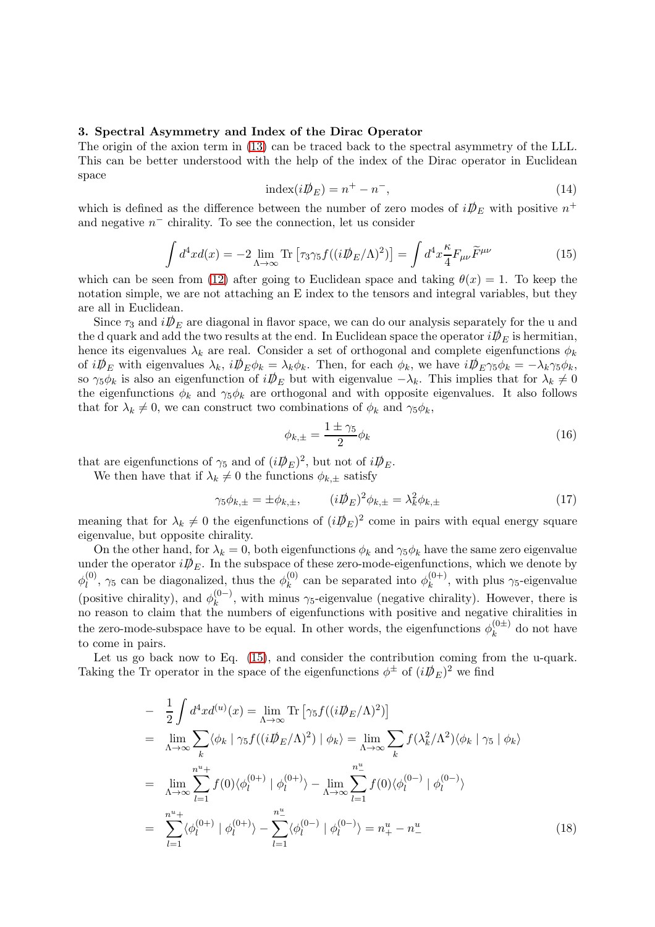# 3. Spectral Asymmetry and Index of the Dirac Operator

The origin of the axion term in [\(13\)](#page-2-0) can be traced back to the spectral asymmetry of the LLL. This can be better understood with the help of the index of the Dirac operator in Euclidean space

$$
index(iD \mathcal{D}_E) = n^+ - n^-, \tag{14}
$$

which is defined as the difference between the number of zero modes of  $i\mathcal{D}_E$  with positive  $n^+$ and negative  $n^-$  chirality. To see the connection, let us consider

<span id="page-3-0"></span>
$$
\int d^4x d(x) = -2 \lim_{\Lambda \to \infty} \text{Tr} \left[ \tau_3 \gamma_5 f((i \not\!\!D_E/\Lambda)^2) \right] = \int d^4x \frac{\kappa}{4} F_{\mu\nu} \widetilde{F}^{\mu\nu} \tag{15}
$$

which can be seen from [\(12\)](#page-2-1) after going to Euclidean space and taking  $\theta(x) = 1$ . To keep the notation simple, we are not attaching an E index to the tensors and integral variables, but they are all in Euclidean.

Since  $\tau_3$  and  $i\mathcal{D}_E$  are diagonal in flavor space, we can do our analysis separately for the u and the d quark and add the two results at the end. In Euclidean space the operator  $i\mathcal{D}_E$  is hermitian, hence its eigenvalues  $\lambda_k$  are real. Consider a set of orthogonal and complete eigenfunctions  $\phi_k$ of  $i\mathcal{D}_E$  with eigenvalues  $\lambda_k$ ,  $i\mathcal{D}_E \phi_k = \lambda_k \phi_k$ . Then, for each  $\phi_k$ , we have  $i\mathcal{D}_E \gamma_5 \phi_k = -\lambda_k \gamma_5 \phi_k$ , so  $\gamma_5 \phi_k$  is also an eigenfunction of  $i\mathcal{D}_E$  but with eigenvalue  $-\lambda_k$ . This implies that for  $\lambda_k \neq 0$ the eigenfunctions  $\phi_k$  and  $\gamma_5 \phi_k$  are orthogonal and with opposite eigenvalues. It also follows that for  $\lambda_k \neq 0$ , we can construct two combinations of  $\phi_k$  and  $\gamma_5 \phi_k$ ,

$$
\phi_{k,\pm} = \frac{1 \pm \gamma_5}{2} \phi_k \tag{16}
$$

that are eigenfunctions of  $\gamma_5$  and of  $(iD\!\!\!\!/_{E})^2$ , but not of  $iD\!\!\!\!/_{E}$ .

We then have that if  $\lambda_k \neq 0$  the functions  $\phi_{k,+}$  satisfy

$$
\gamma_5 \phi_{k,\pm} = \pm \phi_{k,\pm}, \qquad (i \not\!\!D_E)^2 \phi_{k,\pm} = \lambda_k^2 \phi_{k,\pm} \tag{17}
$$

meaning that for  $\lambda_k \neq 0$  the eigenfunctions of  $(iD/E)^2$  come in pairs with equal energy square eigenvalue, but opposite chirality.

On the other hand, for  $\lambda_k = 0$ , both eigenfunctions  $\phi_k$  and  $\gamma_5 \phi_k$  have the same zero eigenvalue under the operator  $i\mathcal{D}_E$ . In the subspace of these zero-mode-eigenfunctions, which we denote by  $\phi^{(0)}_l$  $\eta_l^{(0)}$ ,  $\gamma_5$  can be diagonalized, thus the  $\phi_k^{(0)}$  $\chi_k^{(0)}$  can be separated into  $\phi_k^{(0+)}$  $k^{(0+)}$ , with plus  $\gamma_5$ -eigenvalue (positive chirality), and  $\phi_k^{(0-)}$  $\kappa_k^{(0-)}$ , with minus  $\gamma_5$ -eigenvalue (negative chirality). However, there is no reason to claim that the numbers of eigenfunctions with positive and negative chiralities in the zero-mode-subspace have to be equal. In other words, the eigenfunctions  $\phi_k^{(0\pm)}$  $\kappa^{(0)}$  do not have to come in pairs.

Let us go back now to Eq. [\(15\)](#page-3-0), and consider the contribution coming from the u-quark. Taking the Tr operator in the space of the eigenfunctions  $\phi^{\pm}$  of  $(iD\!\!\!\!/_{E})^{2}$  we find

<span id="page-3-1"></span>
$$
-\frac{1}{2} \int d^4x d^{(u)}(x) = \lim_{\Lambda \to \infty} \text{Tr} \left[ \gamma_5 f((i \not{D}_E / \Lambda)^2) \right]
$$
  
\n
$$
=\lim_{\Lambda \to \infty} \sum_k \langle \phi_k | \gamma_5 f((i \not{D}_E / \Lambda)^2) | \phi_k \rangle = \lim_{\Lambda \to \infty} \sum_k f(\lambda_k^2 / \Lambda^2) \langle \phi_k | \gamma_5 | \phi_k \rangle
$$
  
\n
$$
=\lim_{\Lambda \to \infty} \sum_{l=1}^{n^u+} f(0) \langle \phi_l^{(0+)} | \phi_l^{(0+)} \rangle - \lim_{\Lambda \to \infty} \sum_{l=1}^{n^u+} f(0) \langle \phi_l^{(0-)} | \phi_l^{(0-)} \rangle
$$
  
\n
$$
=\sum_{l=1}^{n^u+} \langle \phi_l^{(0+)} | \phi_l^{(0+)} \rangle - \sum_{l=1}^{n^u+} \langle \phi_l^{(0-)} | \phi_l^{(0-)} \rangle = n^u+ - n^u \tag{18}
$$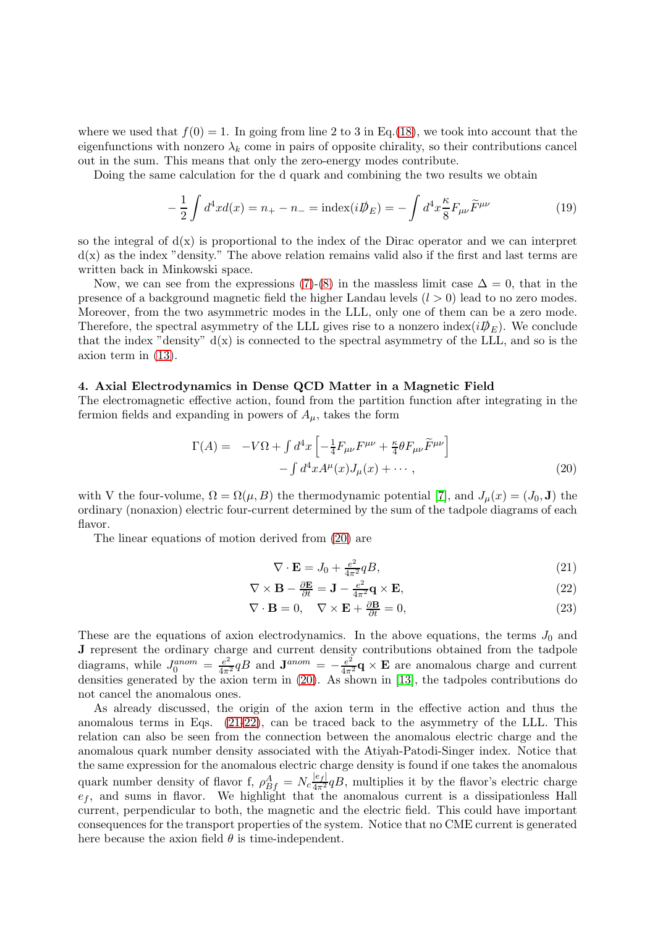where we used that  $f(0) = 1$ . In going from line 2 to 3 in Eq.[\(18\)](#page-3-1), we took into account that the eigenfunctions with nonzero  $\lambda_k$  come in pairs of opposite chirality, so their contributions cancel out in the sum. This means that only the zero-energy modes contribute.

Doing the same calculation for the d quark and combining the two results we obtain

$$
-\frac{1}{2}\int d^4x d(x) = n_+ - n_- = \text{index}(i\rlap{\,/}D_E) = -\int d^4x \frac{\kappa}{8} F_{\mu\nu} \widetilde{F}^{\mu\nu}
$$
(19)

so the integral of  $d(x)$  is proportional to the index of the Dirac operator and we can interpret  $d(x)$  as the index "density." The above relation remains valid also if the first and last terms are written back in Minkowski space.

Now, we can see from the expressions [\(7\)](#page-1-1)-[\(8\)](#page-1-2) in the massless limit case  $\Delta = 0$ , that in the presence of a background magnetic field the higher Landau levels  $(l > 0)$  lead to no zero modes. Moreover, from the two asymmetric modes in the LLL, only one of them can be a zero mode. Therefore, the spectral asymmetry of the LLL gives rise to a nonzero index( $i\mathcal{D}_E$ ). We conclude that the index "density"  $d(x)$  is connected to the spectral asymmetry of the LLL, and so is the axion term in [\(13\)](#page-2-0).

# 4. Axial Electrodynamics in Dense QCD Matter in a Magnetic Field

The electromagnetic effective action, found from the partition function after integrating in the fermion fields and expanding in powers of  $A_{\mu}$ , takes the form

<span id="page-4-0"></span>
$$
\Gamma(A) = -V\Omega + \int d^4x \left[ -\frac{1}{4} F_{\mu\nu} F^{\mu\nu} + \frac{\kappa}{4} \theta F_{\mu\nu} \widetilde{F}^{\mu\nu} \right] - \int d^4x A^{\mu}(x) J_{\mu}(x) + \cdots,
$$
\n(20)

with V the four-volume,  $\Omega = \Omega(\mu, B)$  the thermodynamic potential [\[7\]](#page-6-6), and  $J_{\mu}(x) = (J_0, \mathbf{J})$  the ordinary (nonaxion) electric four-current determined by the sum of the tadpole diagrams of each flavor.

The linear equations of motion derived from [\(20\)](#page-4-0) are

$$
\nabla \cdot \mathbf{E} = J_0 + \frac{e^2}{4\pi^2} qB,\tag{21}
$$

<span id="page-4-1"></span>
$$
\nabla \times \mathbf{B} - \frac{\partial \mathbf{E}}{\partial t} = \mathbf{J} - \frac{e^2}{4\pi^2} \mathbf{q} \times \mathbf{E},\tag{22}
$$

$$
\nabla \cdot \mathbf{B} = 0, \quad \nabla \times \mathbf{E} + \frac{\partial \mathbf{B}}{\partial t} = 0,
$$
\n(23)

These are the equations of axion electrodynamics. In the above equations, the terms  $J_0$  and J represent the ordinary charge and current density contributions obtained from the tadpole diagrams, while  $J_0^{anom} = \frac{e^2}{4\pi^2} qB$  and  $\mathbf{J}^{anom} = -\frac{e^2}{4\pi^2} \mathbf{q} \times \mathbf{E}$  are anomalous charge and current densities generated by the axion term in [\(20\)](#page-4-0). As shown in [\[13\]](#page-6-12), the tadpoles contributions do not cancel the anomalous ones.

As already discussed, the origin of the axion term in the effective action and thus the anomalous terms in Eqs. [\(21-22\)](#page-4-1), can be traced back to the asymmetry of the LLL. This relation can also be seen from the connection between the anomalous electric charge and the anomalous quark number density associated with the Atiyah-Patodi-Singer index. Notice that the same expression for the anomalous electric charge density is found if one takes the anomalous quark number density of flavor f,  $\rho_{Bf}^A = N_c \frac{|e_f|}{4\pi^2} qB$ , multiplies it by the flavor's electric charge  $e_f$ , and sums in flavor. We highlight that the anomalous current is a dissipationless Hall current, perpendicular to both, the magnetic and the electric field. This could have important consequences for the transport properties of the system. Notice that no CME current is generated here because the axion field  $\theta$  is time-independent.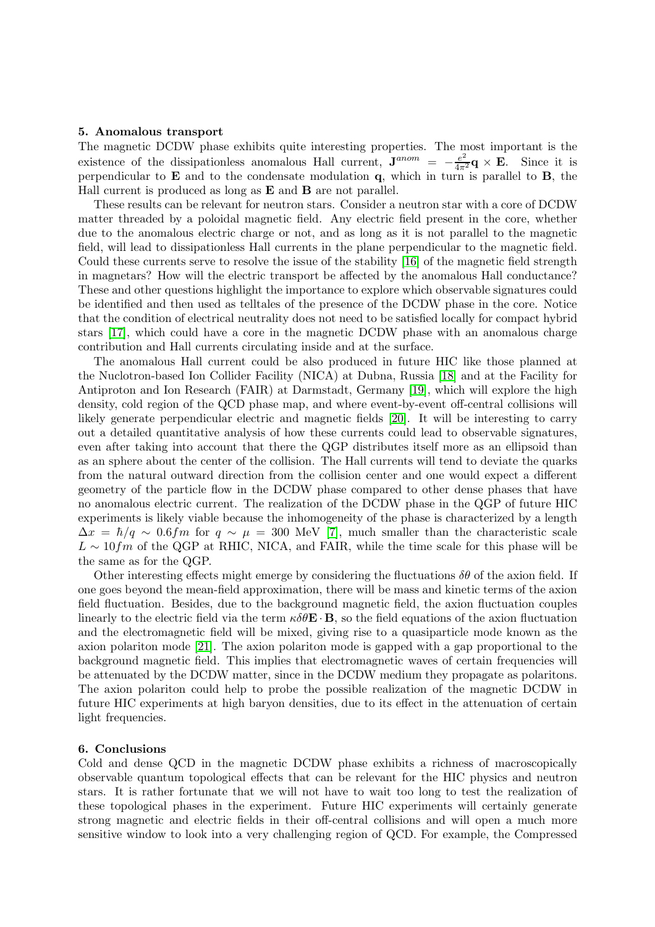# 5. Anomalous transport

The magnetic DCDW phase exhibits quite interesting properties. The most important is the existence of the dissipationless anomalous Hall current,  ${\bf J}^{anom} = -\frac{e^2}{4\pi^2} {\bf q} \times {\bf E}$ . Since it is perpendicular to  $E$  and to the condensate modulation q, which in turn is parallel to  $B$ , the Hall current is produced as long as **E** and **B** are not parallel.

These results can be relevant for neutron stars. Consider a neutron star with a core of DCDW matter threaded by a poloidal magnetic field. Any electric field present in the core, whether due to the anomalous electric charge or not, and as long as it is not parallel to the magnetic field, will lead to dissipationless Hall currents in the plane perpendicular to the magnetic field. Could these currents serve to resolve the issue of the stability [\[16\]](#page-6-14) of the magnetic field strength in magnetars? How will the electric transport be affected by the anomalous Hall conductance? These and other questions highlight the importance to explore which observable signatures could be identified and then used as telltales of the presence of the DCDW phase in the core. Notice that the condition of electrical neutrality does not need to be satisfied locally for compact hybrid stars [\[17\]](#page-6-15), which could have a core in the magnetic DCDW phase with an anomalous charge contribution and Hall currents circulating inside and at the surface.

The anomalous Hall current could be also produced in future HIC like those planned at the Nuclotron-based Ion Collider Facility (NICA) at Dubna, Russia [\[18\]](#page-6-16) and at the Facility for Antiproton and Ion Research (FAIR) at Darmstadt, Germany [\[19\]](#page-6-17), which will explore the high density, cold region of the QCD phase map, and where event-by-event off-central collisions will likely generate perpendicular electric and magnetic fields [\[20\]](#page-6-18). It will be interesting to carry out a detailed quantitative analysis of how these currents could lead to observable signatures, even after taking into account that there the QGP distributes itself more as an ellipsoid than as an sphere about the center of the collision. The Hall currents will tend to deviate the quarks from the natural outward direction from the collision center and one would expect a different geometry of the particle flow in the DCDW phase compared to other dense phases that have no anomalous electric current. The realization of the DCDW phase in the QGP of future HIC experiments is likely viable because the inhomogeneity of the phase is characterized by a length  $\Delta x = \hbar/q \sim 0.6$ fm for  $q \sim \mu = 300$  MeV [\[7\]](#page-6-6), much smaller than the characteristic scale  $L \sim 10 fm$  of the QGP at RHIC, NICA, and FAIR, while the time scale for this phase will be the same as for the QGP.

Other interesting effects might emerge by considering the fluctuations  $\delta\theta$  of the axion field. If one goes beyond the mean-field approximation, there will be mass and kinetic terms of the axion field fluctuation. Besides, due to the background magnetic field, the axion fluctuation couples linearly to the electric field via the term  $\kappa \delta \theta \mathbf{E} \cdot \mathbf{B}$ , so the field equations of the axion fluctuation and the electromagnetic field will be mixed, giving rise to a quasiparticle mode known as the axion polariton mode [\[21\]](#page-6-19). The axion polariton mode is gapped with a gap proportional to the background magnetic field. This implies that electromagnetic waves of certain frequencies will be attenuated by the DCDW matter, since in the DCDW medium they propagate as polaritons. The axion polariton could help to probe the possible realization of the magnetic DCDW in future HIC experiments at high baryon densities, due to its effect in the attenuation of certain light frequencies.

## 6. Conclusions

Cold and dense QCD in the magnetic DCDW phase exhibits a richness of macroscopically observable quantum topological effects that can be relevant for the HIC physics and neutron stars. It is rather fortunate that we will not have to wait too long to test the realization of these topological phases in the experiment. Future HIC experiments will certainly generate strong magnetic and electric fields in their off-central collisions and will open a much more sensitive window to look into a very challenging region of QCD. For example, the Compressed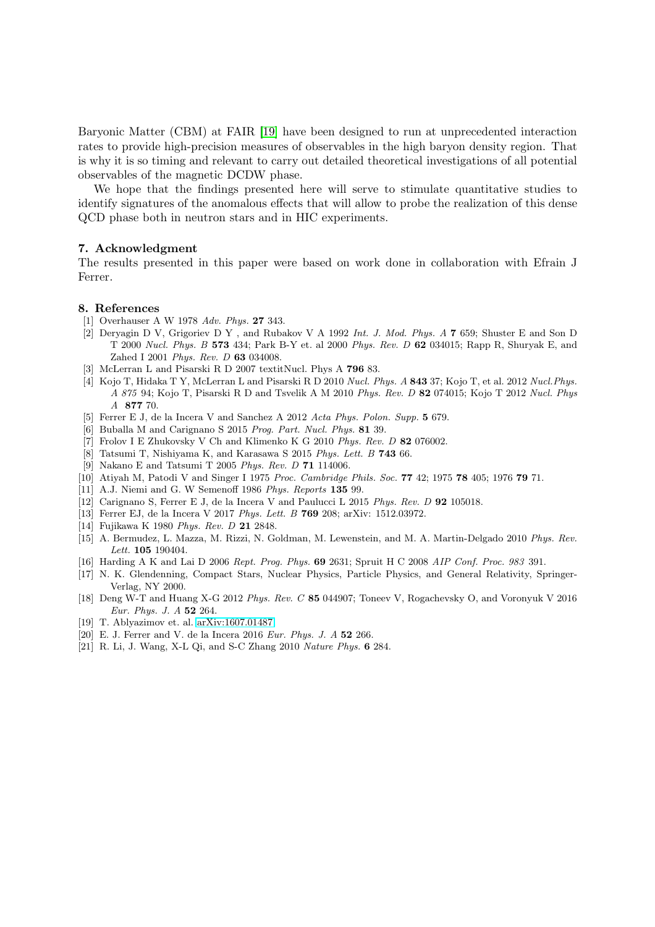Baryonic Matter (CBM) at FAIR [\[19\]](#page-6-17) have been designed to run at unprecedented interaction rates to provide high-precision measures of observables in the high baryon density region. That is why it is so timing and relevant to carry out detailed theoretical investigations of all potential observables of the magnetic DCDW phase.

We hope that the findings presented here will serve to stimulate quantitative studies to identify signatures of the anomalous effects that will allow to probe the realization of this dense QCD phase both in neutron stars and in HIC experiments.

# 7. Acknowledgment

The results presented in this paper were based on work done in collaboration with Efrain J Ferrer.

### <span id="page-6-0"></span>8. References

- <span id="page-6-1"></span>[1] Overhauser A W 1978 Adv. Phys. 27 343.
- [2] Deryagin D V, Grigoriev D Y , and Rubakov V A 1992 Int. J. Mod. Phys. A 7 659; Shuster E and Son D T 2000 Nucl. Phys. B 573 434; Park B-Y et. al 2000 Phys. Rev. D 62 034015; Rapp R, Shuryak E, and Zahed I 2001 Phys. Rev. D 63 034008.
- <span id="page-6-3"></span><span id="page-6-2"></span>[3] McLerran L and Pisarski R D 2007 textitNucl. Phys A 796 83.
- [4] Kojo T, Hidaka T Y, McLerran L and Pisarski R D 2010 Nucl. Phys. A 843 37; Kojo T, et al. 2012 Nucl.Phys. A 875 94; Kojo T, Pisarski R D and Tsvelik A M 2010 Phys. Rev. D 82 074015; Kojo T 2012 Nucl. Phys A 877 70.
- <span id="page-6-5"></span><span id="page-6-4"></span>[5] Ferrer E J, de la Incera V and Sanchez A 2012 Acta Phys. Polon. Supp. 5 679.
- <span id="page-6-6"></span>[6] Buballa M and Carignano S 2015 Prog. Part. Nucl. Phys. 81 39.
- <span id="page-6-7"></span>[7] Frolov I E Zhukovsky V Ch and Klimenko K G 2010 Phys. Rev. D 82 076002.
- <span id="page-6-8"></span>[8] Tatsumi T, Nishiyama K, and Karasawa S 2015 Phys. Lett. B 743 66.
- <span id="page-6-9"></span>[9] Nakano E and Tatsumi T 2005 Phys. Rev. D 71 114006.
- <span id="page-6-10"></span>[10] Atiyah M, Patodi V and Singer I 1975 *Proc. Cambridge Phils. Soc.* **77** 42; 1975 **78** 405; 1976 **79** 71.
- <span id="page-6-11"></span>[11] A.J. Niemi and G. W Semenoff 1986 Phys. Reports 135 99.
- <span id="page-6-12"></span>[12] Carignano S, Ferrer E J, de la Incera V and Paulucci L 2015 Phys. Rev. D 92 105018.
- <span id="page-6-13"></span>[13] Ferrer EJ, de la Incera V 2017 Phys. Lett. B 769 208; arXiv: 1512.03972.
- [14] Fujikawa K 1980 Phys. Rev. D 21 2848.
- <span id="page-6-14"></span>[15] A. Bermudez, L. Mazza, M. Rizzi, N. Goldman, M. Lewenstein, and M. A. Martin-Delgado 2010 Phys. Rev. Lett. **105** 190404.
- <span id="page-6-15"></span>[16] Harding A K and Lai D 2006 Rept. Prog. Phys. **69** 2631; Spruit H C 2008 AIP Conf. Proc. 983 391.
- [17] N. K. Glendenning, Compact Stars, Nuclear Physics, Particle Physics, and General Relativity, Springer-Verlag, NY 2000.
- <span id="page-6-16"></span>[18] Deng W-T and Huang X-G 2012 Phys. Rev. C 85 044907; Toneev V, Rogachevsky O, and Voronyuk V 2016 Eur. Phys. J. A 52 264.
- <span id="page-6-18"></span><span id="page-6-17"></span>[19] T. Ablyazimov et. al. [arXiv:1607.01487.](http://arxiv.org/abs/1607.01487)
- <span id="page-6-19"></span>[20] E. J. Ferrer and V. de la Incera 2016 Eur. Phys. J. A 52 266.
- [21] R. Li, J. Wang, X-L Qi, and S-C Zhang 2010 Nature Phys. 6 284.